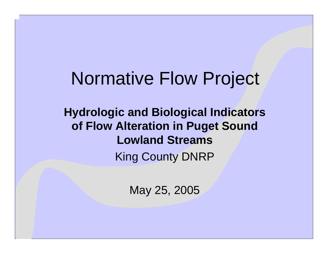## Normative Flow Project

**Hydrologic and Biological Indicators of Flow Alteration in Puget Sound Lowland Streams**King County DNRP

May 25, 2005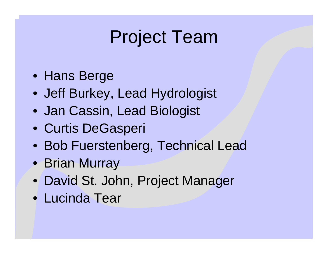# Project Team

- Hans Berge
- Jeff Burkey, Lead Hydrologist
- Jan Cassin, Lead Biologist
- Curtis DeGasperi
- Bob Fuerstenberg, Technical Lead
- Brian Murray
- David St. John, Project Manager
- Lucinda Tear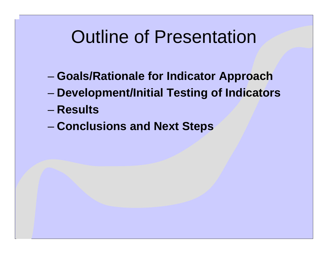# Outline of Presentation

- **Harry Committee Goals/Rationale for Indicator Approach**
- **Harry Committee Development/Initial Testing of Indicators**
- **Results**
- –**Conclusions and Next Steps**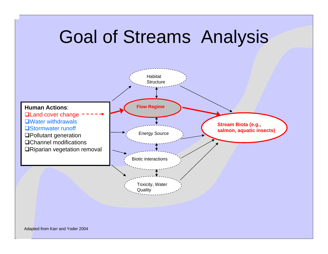### Goal of Streams Analysis **Human Actions**:**QLand cover change** Water withdrawals**□Stormwater runoff** Pollutant generation Channel modificationsRiparian vegetation removal Habitat**Structure Flo w Regime** Energy Source Biotic interactionsToxicity, Water **Quality Stre a m Biota (e.g., salmon, aquatic insects)**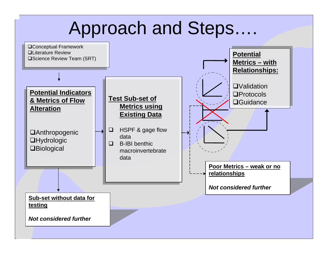## Approach and Steps….

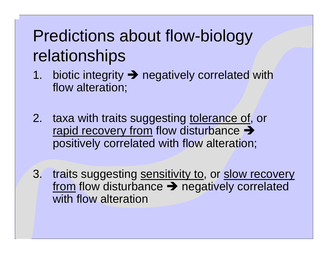# Predictions about flow-biology relationships

- 1.. biotic integrity  $\rightarrow$  negatively correlated with flow alteration;
- 2.taxa with traits suggesting tolerance of, or rapid recovery from flow disturbance  $\rightarrow$ positively correlated with flow alteration;
- 3. traits suggesting sensitivity to, or slow recovery from flow disturbance  $\rightarrow$  negatively correlated with flow alteration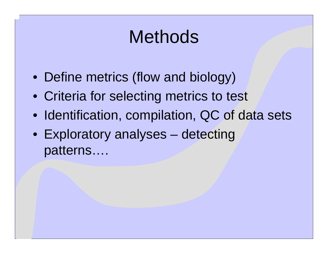# **Methods**

- Define metrics (flow and biology)
- Criteria for selecting metrics to test
- Identification, compilation, QC of data sets
- Exploratory analyses detecting patterns….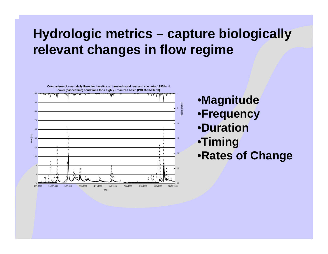### **Hydrologic metrics – capture biologically relevant changes in flow regime**



•**Magnitude**

- •**Frequency**
- •**Duration**
- •**Timing**
- •**Rates of Change**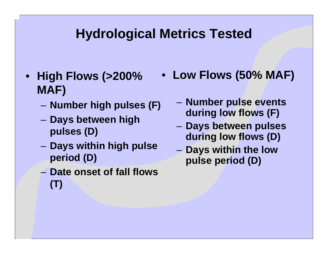### **Hydrological Metrics Tested**

- **High Flows (>200% MAF)**
	- –**Number high pulses (F)**
	- – **Days between high pulses (D)**
	- **D ays within high pulse period (D)**
	- **Date onset of fall flows (T)**
- **Low Flows (50% MAF)**
	- **Number pulse events during low flows (F)**
	- **Days between pulses during low flows (D)**
	- **D ays within the low pulse period (D)**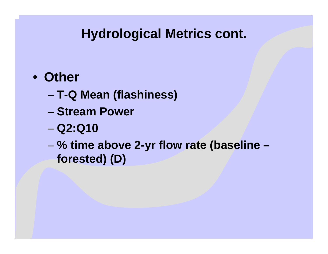### **Hydrological Metrics cont.**

### • **Other**

- **T-Q Mean (flashiness)**
- **Stream Power**
- **Harry Committee Q2:Q10**
- – **% time above 2-yr flow rate (baseline – forested) (D)**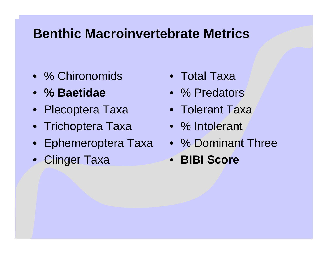### **Benthic MacroinvertebrateMetrics**

- •% Chironomids
- **% Baetidae**
- Plecoptera Taxa
- Trichoptera Taxa
- Ephemeroptera Taxa
- Clinger Taxa
- •Total Taxa
- •% Predators
- Tolerant Taxa
- % Intolerant
- % Dominant Three
- **BIBI Score**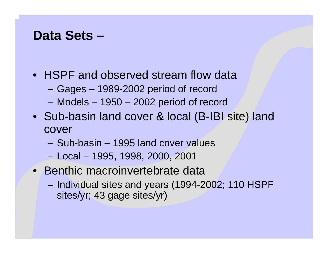### **Data Sets –**

- HSPF and observed stream flow data
	- Gages 1989-2002 period of record
	- Models 1950 2002 period of record
- Sub-basin land cover & local (B-IBI site) land cover
	- Sub-basin 1995 land cover values
	- Local 1995, 1998, 2000, 2001
- Benthic macroinvertebrate data
	- Individual sites and years (1994-2002; 110 HSPF sites/yr; 43 gage sites/yr)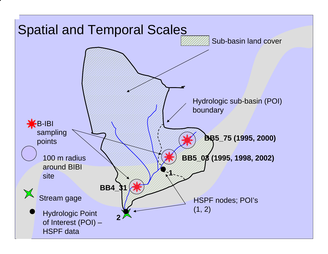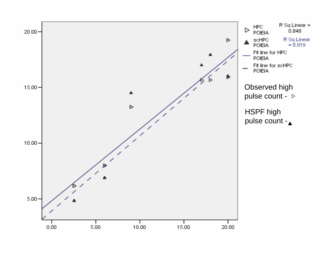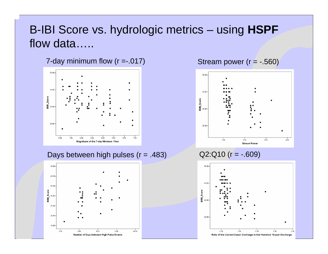### B-IBI Score vs. hydrologic metrics – using **HSPF** flow data…..

7-day minimum flow  $(r = -017)$  Stream power  $(r = -0.560)$ 



### Days between high pulses  $(r = .483)$  Q2:Q10  $(r = -.609)$





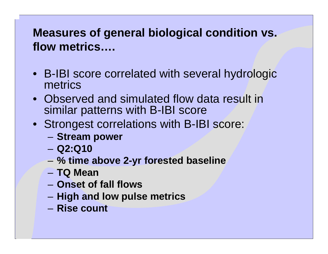### **Measures of general biological condition vs. flow metrics….**

- B-IBI score correlated with several hydrologic metrics
- •Observed and simulated flow data result in similar patterns with B-IBI score
- Strongest correlations with B-IBI score:
	- **Hart Committee Stream power**
	- **Q2:Q10**
	- –**% time above 2-yr forested baseline**
	- **TQ Mean**
	- **Onset of fall flows**
	- –**High and low pulse metrics**
	- **Rise count**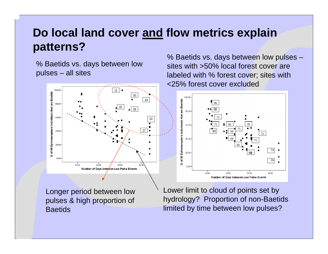### **Do local land cover and flow metrics explain patterns?**

% Baetids vs. days between low pulses – all sites

> 100.00 11 % of All Ephemeroptera Individuals that are Baetids 1014 80.00 2233 $60.00$ 13 17 $40.00$  $20.00$  $0.00$ 10.00 20.00 30.00 40.00 Number of Days between Low Pulse Events

Longer period between low pulses & high proportion of **Baetids** 

% Baetids vs. days between low pulses – sites with >50% local forest cover are labeled with % forest cover; sites with <25% forest cover excluded



Lower limit to cloud of points set by hydrology? Proportion of non-Baetids limited by time between low pulses?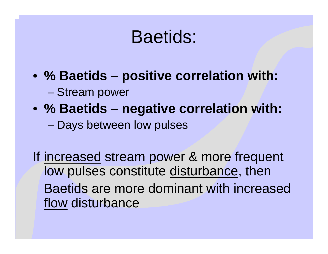## Baetids:

- **% Baetids – positive correlation with:** 
	- Stream power
- **% Baetids – negative correlation with: Harry Committee** – Days between low pulses

If increased stream power & more frequent low pulses constitute disturbance, then Baetids are more dominant with increased flow disturbance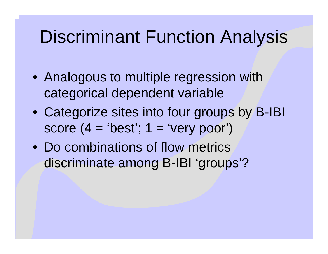# Discriminant Function Analysis

- Analogous to multiple regression with categorical dependent variable
- Categorize sites into four groups by B-IBI score  $(4 = 'best'; 1 = 'very poor')$
- Do combinations of flow metrics discriminate among B-IBI 'groups'?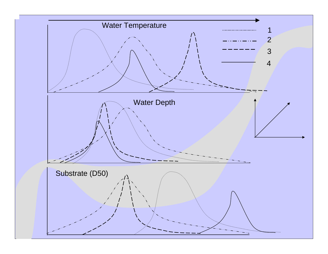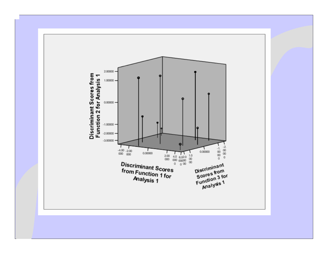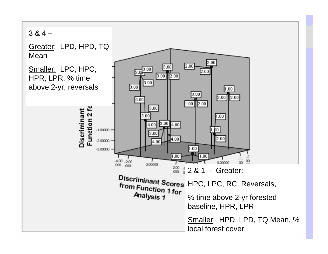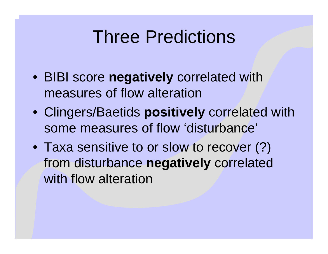# Three Predictions

- BIBI score **negatively** correlated with measures of flow alteration
- Clingers/Baetids **positively** correlated with some measures of flow 'disturbance'
- Taxa sensitive to or slow to recover (?) from disturbance **negatively** correlated with flow alteration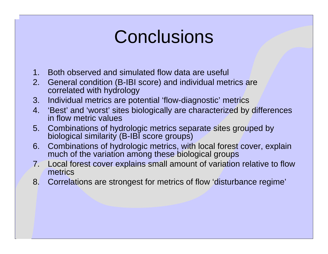# **Conclusions**

- 1.Both observed and simulated flow data are useful
- 2. General condition (B-IBI score) and individual metrics are correlated with hydrology
- 3. Individual metrics are potential 'flow-diagnostic' metrics
- 4.. 'Best' and 'worst' sites biologically are characterized by differences in flow metric values
- 5. Combinations of hydrologic metrics separate sites grouped by biological similarity (B-IBI score groups)
- 6. Combinations of hydrologic metrics, with local forest cover, explain much of the variation among these biological groups
- 7. Local forest cover explains small amount of variation relative to flow metrics
- 8. Correlations are strongest for metrics of flow 'disturbance regime'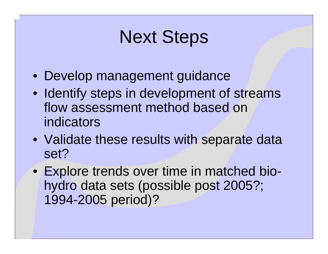# Next Steps

- Develop management guidance
- Identify steps in development of streams flow assessment method based on indicators
- Validate these results with separate data set?
- Explore trends over time in matched biohydro data sets (possible post 2005?; 1994-2005 period)?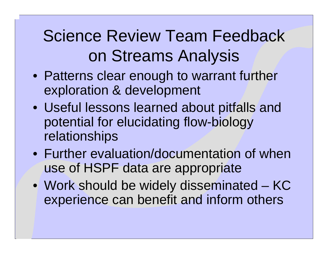# Science Review Team Feedback on Streams Analysis

- Patterns clear enough to warrant further exploration & development
- Useful lessons learned about pitfalls and potential for elucidating flow-biology relationships
- •Further evaluation/documentation of when use of HSPF data are appropriate
- Work should be widely disseminated KC experience can benefit and inform others